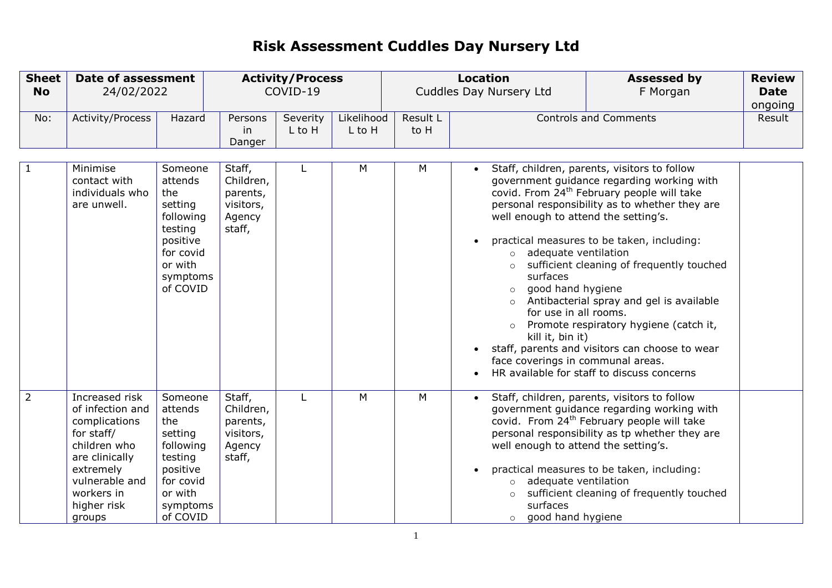| <b>Sheet</b><br><b>No</b> | <b>Date of assessment</b><br>24/02/2022                                                                                                                                   |                                                                                                                          |                                                                  | <b>Activity/Process</b><br>COVID-19 |                      |                  | <b>Location</b><br><b>Assessed by</b><br>Cuddles Day Nursery Ltd<br>F Morgan                                                                                                                                                    |                                                                                                                                                                                                                                                                                                                                                                                                                                                                                         | <b>Review</b><br><b>Date</b><br>ongoing |
|---------------------------|---------------------------------------------------------------------------------------------------------------------------------------------------------------------------|--------------------------------------------------------------------------------------------------------------------------|------------------------------------------------------------------|-------------------------------------|----------------------|------------------|---------------------------------------------------------------------------------------------------------------------------------------------------------------------------------------------------------------------------------|-----------------------------------------------------------------------------------------------------------------------------------------------------------------------------------------------------------------------------------------------------------------------------------------------------------------------------------------------------------------------------------------------------------------------------------------------------------------------------------------|-----------------------------------------|
| No:                       | Activity/Process                                                                                                                                                          | Hazard                                                                                                                   | Persons<br>in<br>Danger                                          | Severity<br>L to H                  | Likelihood<br>L to H | Result L<br>to H |                                                                                                                                                                                                                                 | <b>Controls and Comments</b>                                                                                                                                                                                                                                                                                                                                                                                                                                                            | Result                                  |
| 1                         | Minimise<br>contact with<br>individuals who<br>are unwell.                                                                                                                | Someone<br>attends<br>the<br>setting<br>following<br>testing<br>positive<br>for covid<br>or with<br>symptoms<br>of COVID | Staff,<br>Children,<br>parents,<br>visitors,<br>Agency<br>staff, |                                     | M                    | M                | $\bullet$<br>well enough to attend the setting's.<br>$\bullet$<br>adequate ventilation<br>$\circ$<br>surfaces<br>good hand hygiene<br>$\circ$<br>for use in all rooms.<br>kill it, bin it)<br>face coverings in communal areas. | Staff, children, parents, visitors to follow<br>government guidance regarding working with<br>covid. From 24 <sup>th</sup> February people will take<br>personal responsibility as to whether they are<br>practical measures to be taken, including:<br>sufficient cleaning of frequently touched<br>Antibacterial spray and gel is available<br>Promote respiratory hygiene (catch it,<br>staff, parents and visitors can choose to wear<br>HR available for staff to discuss concerns |                                         |
| $\overline{2}$            | Increased risk<br>of infection and<br>complications<br>for staff/<br>children who<br>are clinically<br>extremely<br>vulnerable and<br>workers in<br>higher risk<br>groups | Someone<br>attends<br>the<br>setting<br>following<br>testing<br>positive<br>for covid<br>or with<br>symptoms<br>of COVID | Staff,<br>Children,<br>parents,<br>visitors,<br>Agency<br>staff, |                                     | M                    | M                | well enough to attend the setting's.<br>adequate ventilation<br>$\circ$<br>$\circ$<br>surfaces<br>o good hand hygiene                                                                                                           | Staff, children, parents, visitors to follow<br>government guidance regarding working with<br>covid. From 24 <sup>th</sup> February people will take<br>personal responsibility as tp whether they are<br>practical measures to be taken, including:<br>sufficient cleaning of frequently touched                                                                                                                                                                                       |                                         |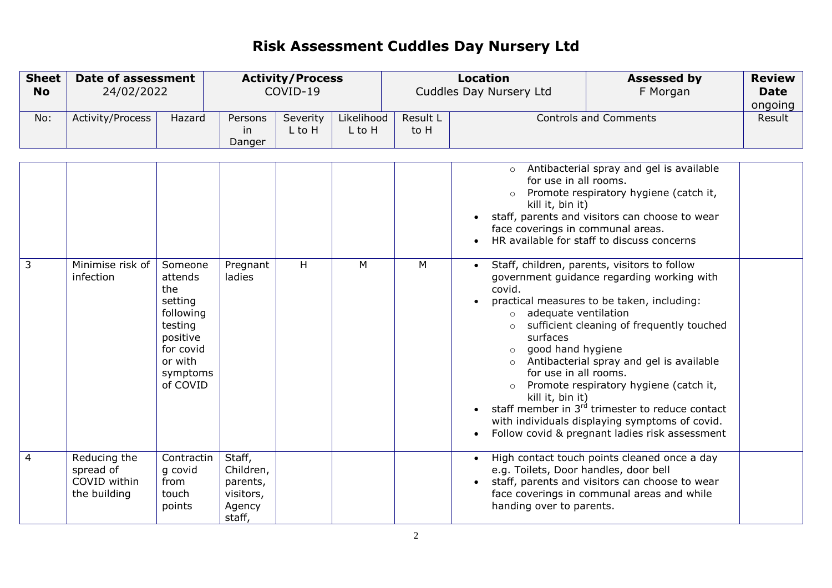| <b>Sheet</b><br><b>No</b> | Date of assessment<br>24/02/2022                          |                                                                                                                          |                                                                  | <b>Activity/Process</b><br>COVID-19 |                      |                  | <b>Location</b><br><b>Assessed by</b><br>Cuddles Day Nursery Ltd<br>F Morgan                                                                                                                                                                            |                                                                                                                                                                                                                                                                                                                                                                                                                                                                                                                                                                                                                                      | <b>Review</b><br><b>Date</b><br>ongoing |
|---------------------------|-----------------------------------------------------------|--------------------------------------------------------------------------------------------------------------------------|------------------------------------------------------------------|-------------------------------------|----------------------|------------------|---------------------------------------------------------------------------------------------------------------------------------------------------------------------------------------------------------------------------------------------------------|--------------------------------------------------------------------------------------------------------------------------------------------------------------------------------------------------------------------------------------------------------------------------------------------------------------------------------------------------------------------------------------------------------------------------------------------------------------------------------------------------------------------------------------------------------------------------------------------------------------------------------------|-----------------------------------------|
| No:                       | Activity/Process                                          | Hazard                                                                                                                   | Persons<br>in<br>Danger                                          | Severity<br>L to H                  | Likelihood<br>L to H | Result L<br>to H |                                                                                                                                                                                                                                                         | <b>Controls and Comments</b>                                                                                                                                                                                                                                                                                                                                                                                                                                                                                                                                                                                                         | Result                                  |
| 3                         | Minimise risk of<br>infection                             | Someone<br>attends<br>the<br>setting<br>following<br>testing<br>positive<br>for covid<br>or with<br>symptoms<br>of COVID | Pregnant<br>ladies                                               | H                                   | M                    | M                | $\circ$<br>for use in all rooms.<br>kill it, bin it)<br>face coverings in communal areas.<br>$\bullet$<br>covid.<br>adequate ventilation<br>$\circ$<br>surfaces<br>good hand hygiene<br>$\circ$<br>$\circ$<br>for use in all rooms.<br>kill it, bin it) | Antibacterial spray and gel is available<br>Promote respiratory hygiene (catch it,<br>staff, parents and visitors can choose to wear<br>HR available for staff to discuss concerns<br>Staff, children, parents, visitors to follow<br>government guidance regarding working with<br>practical measures to be taken, including:<br>sufficient cleaning of frequently touched<br>Antibacterial spray and gel is available<br>Promote respiratory hygiene (catch it,<br>staff member in 3 <sup>rd</sup> trimester to reduce contact<br>with individuals displaying symptoms of covid.<br>Follow covid & pregnant ladies risk assessment |                                         |
| $\overline{4}$            | Reducing the<br>spread of<br>COVID within<br>the building | Contractin<br>g covid<br>from<br>touch<br>points                                                                         | Staff,<br>Children,<br>parents,<br>visitors,<br>Agency<br>staff, |                                     |                      |                  | $\bullet$<br>e.g. Toilets, Door handles, door bell<br>handing over to parents.                                                                                                                                                                          | High contact touch points cleaned once a day<br>staff, parents and visitors can choose to wear<br>face coverings in communal areas and while                                                                                                                                                                                                                                                                                                                                                                                                                                                                                         |                                         |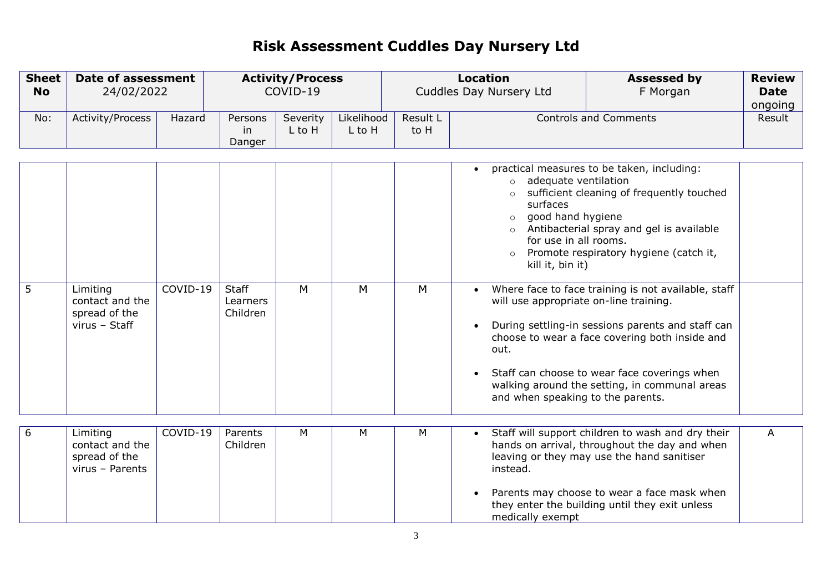| <b>Sheet</b><br><b>No</b> | <b>Date of assessment</b><br>24/02/2022                         |          |                                      | <b>Activity/Process</b><br>COVID-19 |                      |                  | <b>Location</b><br><b>Assessed by</b><br>Cuddles Day Nursery Ltd<br>F Morgan                                                                                                                                                                                                                         |                                                                                                                                                                                                                                                                                                                                                                                                                                              |                   |
|---------------------------|-----------------------------------------------------------------|----------|--------------------------------------|-------------------------------------|----------------------|------------------|------------------------------------------------------------------------------------------------------------------------------------------------------------------------------------------------------------------------------------------------------------------------------------------------------|----------------------------------------------------------------------------------------------------------------------------------------------------------------------------------------------------------------------------------------------------------------------------------------------------------------------------------------------------------------------------------------------------------------------------------------------|-------------------|
| No:                       | Activity/Process                                                | Hazard   | Persons<br>in<br>Danger              | Severity<br>L to H                  | Likelihood<br>L to H | Result L<br>to H |                                                                                                                                                                                                                                                                                                      | <b>Controls and Comments</b>                                                                                                                                                                                                                                                                                                                                                                                                                 | ongoing<br>Result |
| 5                         | Limiting<br>contact and the<br>spread of the<br>virus - Staff   | COVID-19 | <b>Staff</b><br>Learners<br>Children | M                                   | M                    | M                | $\bullet$<br>adequate ventilation<br>$\circ$<br>$\circ$<br>surfaces<br>good hand hygiene<br>$\circ$<br>$\circ$<br>for use in all rooms.<br>$\circ$<br>kill it, bin it)<br>$\bullet$<br>will use appropriate on-line training.<br>$\bullet$<br>out.<br>$\bullet$<br>and when speaking to the parents. | practical measures to be taken, including:<br>sufficient cleaning of frequently touched<br>Antibacterial spray and gel is available<br>Promote respiratory hygiene (catch it,<br>Where face to face training is not available, staff<br>During settling-in sessions parents and staff can<br>choose to wear a face covering both inside and<br>Staff can choose to wear face coverings when<br>walking around the setting, in communal areas |                   |
| 6                         | Limiting<br>contact and the<br>spread of the<br>virus - Parents | COVID-19 | Parents<br>Children                  | М                                   | M                    | M                | instead.<br>$\bullet$<br>medically exempt                                                                                                                                                                                                                                                            | Staff will support children to wash and dry their<br>hands on arrival, throughout the day and when<br>leaving or they may use the hand sanitiser<br>Parents may choose to wear a face mask when<br>they enter the building until they exit unless                                                                                                                                                                                            | A                 |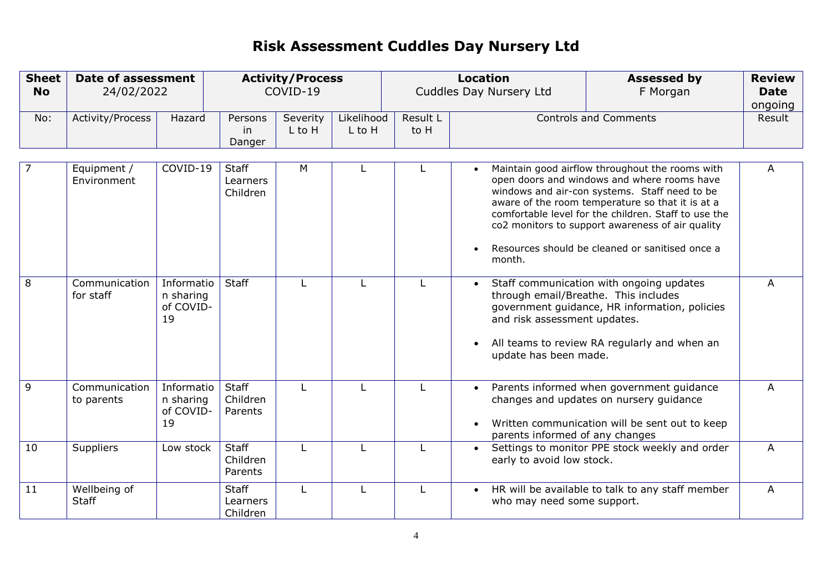| <b>Sheet</b><br><b>No</b> | <b>Date of assessment</b><br>24/02/2022 |                                            |                                      | <b>Activity/Process</b><br>COVID-19 |                      | <b>Location</b><br><b>Assessed by</b><br>Cuddles Day Nursery Ltd<br>F Morgan |                                                                    |                                                                                                                                                                                                                                                                                                                                                                    |                | <b>Review</b><br><b>Date</b><br>ongoing |
|---------------------------|-----------------------------------------|--------------------------------------------|--------------------------------------|-------------------------------------|----------------------|------------------------------------------------------------------------------|--------------------------------------------------------------------|--------------------------------------------------------------------------------------------------------------------------------------------------------------------------------------------------------------------------------------------------------------------------------------------------------------------------------------------------------------------|----------------|-----------------------------------------|
| No:                       | Activity/Process                        | Hazard                                     | Persons<br>in<br>Danger              | Severity<br>L to H                  | Likelihood<br>L to H | Result L<br>to H                                                             |                                                                    | <b>Controls and Comments</b>                                                                                                                                                                                                                                                                                                                                       | Result         |                                         |
| 7                         | Equipment /<br>Environment              | COVID-19                                   | <b>Staff</b><br>Learners<br>Children | M                                   |                      | L                                                                            | $\bullet$<br>$\bullet$<br>month.                                   | Maintain good airflow throughout the rooms with<br>open doors and windows and where rooms have<br>windows and air-con systems. Staff need to be<br>aware of the room temperature so that it is at a<br>comfortable level for the children. Staff to use the<br>co2 monitors to support awareness of air quality<br>Resources should be cleaned or sanitised once a | A              |                                         |
| 8                         | Communication<br>for staff              | Informatio<br>n sharing<br>of COVID-<br>19 | Staff                                |                                     |                      | L                                                                            | and risk assessment updates.<br>$\bullet$<br>update has been made. | Staff communication with ongoing updates<br>through email/Breathe. This includes<br>government guidance, HR information, policies<br>All teams to review RA regularly and when an                                                                                                                                                                                  | A              |                                         |
| 9                         | Communication<br>to parents             | Informatio<br>n sharing<br>of COVID-<br>19 | Staff<br>Children<br>Parents         |                                     |                      | L                                                                            | $\bullet$<br>$\bullet$<br>parents informed of any changes          | Parents informed when government guidance<br>changes and updates on nursery guidance<br>Written communication will be sent out to keep                                                                                                                                                                                                                             | A              |                                         |
| 10                        | Suppliers                               | Low stock                                  | Staff<br>Children<br>Parents         |                                     |                      | L                                                                            | early to avoid low stock.                                          | Settings to monitor PPE stock weekly and order                                                                                                                                                                                                                                                                                                                     | A              |                                         |
| 11                        | Wellbeing of<br><b>Staff</b>            |                                            | <b>Staff</b><br>Learners<br>Children | L                                   |                      | L                                                                            | $\bullet$<br>who may need some support.                            | HR will be available to talk to any staff member                                                                                                                                                                                                                                                                                                                   | $\overline{A}$ |                                         |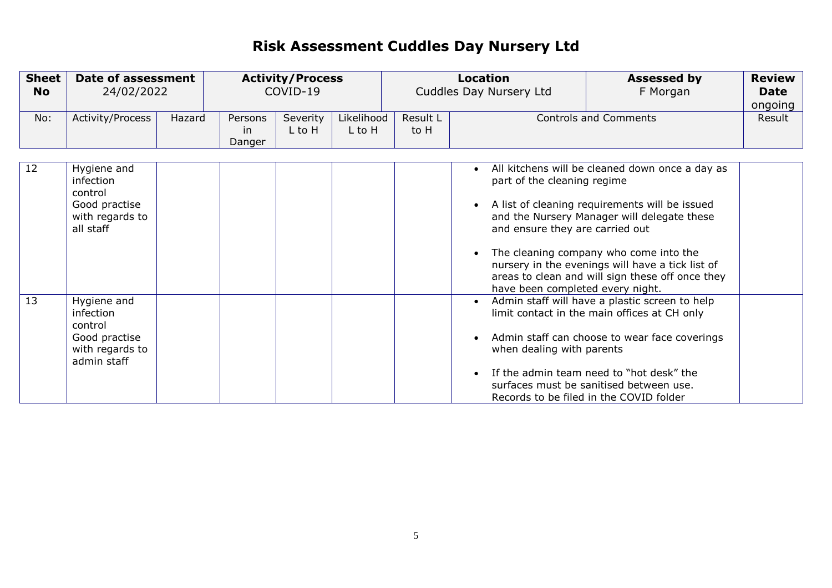| <b>Sheet</b><br><b>No</b> | <b>Date of assessment</b><br>24/02/2022                                                |        |                         |                    |                      | <b>Activity/Process</b><br>COVID-19 |                                                                                                                              | <b>Location</b><br><b>Assessed by</b><br>Cuddles Day Nursery Ltd<br>F Morgan                                                                                                                                                                                                                       |        | <b>Review</b><br>Date<br>ongoing |
|---------------------------|----------------------------------------------------------------------------------------|--------|-------------------------|--------------------|----------------------|-------------------------------------|------------------------------------------------------------------------------------------------------------------------------|----------------------------------------------------------------------------------------------------------------------------------------------------------------------------------------------------------------------------------------------------------------------------------------------------|--------|----------------------------------|
| No:                       | Activity/Process                                                                       | Hazard | Persons<br>in<br>Danger | Severity<br>L to H | Likelihood<br>L to H | Result L<br>to H                    |                                                                                                                              | <b>Controls and Comments</b>                                                                                                                                                                                                                                                                       | Result |                                  |
| 12                        | Hygiene and<br>infection<br>control<br>Good practise<br>with regards to<br>all staff   |        |                         |                    |                      |                                     | $\bullet$<br>part of the cleaning regime<br>$\bullet$<br>and ensure they are carried out<br>have been completed every night. | All kitchens will be cleaned down once a day as<br>A list of cleaning requirements will be issued<br>and the Nursery Manager will delegate these<br>The cleaning company who come into the<br>nursery in the evenings will have a tick list of<br>areas to clean and will sign these off once they |        |                                  |
| 13                        | Hygiene and<br>infection<br>control<br>Good practise<br>with regards to<br>admin staff |        |                         |                    |                      |                                     | $\bullet$<br>$\bullet$<br>when dealing with parents<br>$\bullet$                                                             | Admin staff will have a plastic screen to help<br>limit contact in the main offices at CH only<br>Admin staff can choose to wear face coverings<br>If the admin team need to "hot desk" the<br>surfaces must be sanitised between use.<br>Records to be filed in the COVID folder                  |        |                                  |